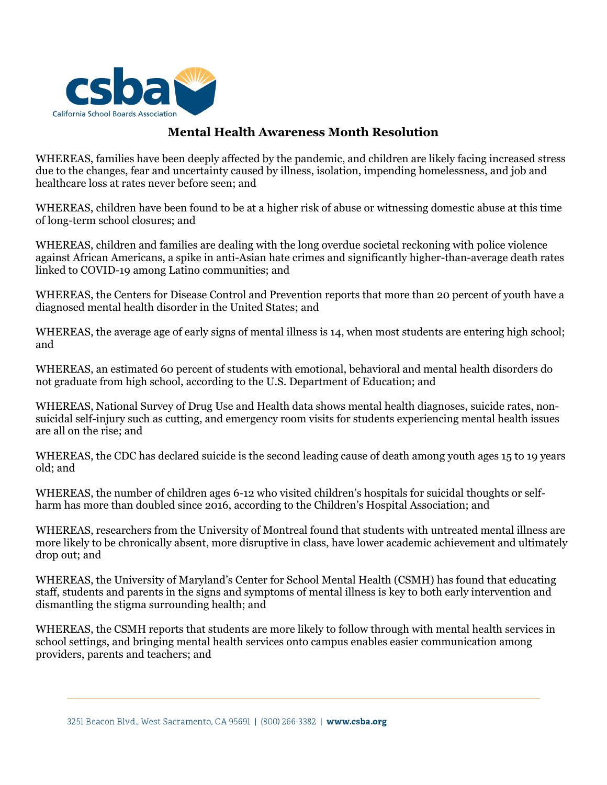

## **Mental Health Awareness Month Resolution**

WHEREAS, families have been deeply affected by the pandemic, and children are likely facing increased stress due to the changes, fear and uncertainty caused by illness, isolation, impending homelessness, and job and healthcare loss at rates never before seen; and

WHEREAS, children have been found to be at a higher risk of abuse or witnessing domestic abuse at this time of long-term school closures; and

WHEREAS, children and families are dealing with the long overdue societal reckoning with police violence against African Americans, a spike in anti-Asian hate crimes and significantly higher-than-average death rates linked to COVID-19 among Latino communities; and

WHEREAS, the Centers for Disease Control and Prevention reports that more than 20 percent of youth have a diagnosed mental health disorder in the United States; and

WHEREAS, the average age of early signs of mental illness is 14, when most students are entering high school; and

WHEREAS, an estimated 60 percent of students with emotional, behavioral and mental health disorders do not graduate from high school, according to the U.S. Department of Education; and

WHEREAS, National Survey of Drug Use and Health data shows mental health diagnoses, suicide rates, nonsuicidal self-injury such as cutting, and emergency room visits for students experiencing mental health issues are all on the rise; and

WHEREAS, the CDC has declared suicide is the second leading cause of death among youth ages 15 to 19 years old; and

WHEREAS, the number of children ages 6-12 who visited children's hospitals for suicidal thoughts or selfharm has more than doubled since 2016, according to the Children's Hospital Association; and

WHEREAS, researchers from the University of Montreal found that students with untreated mental illness are more likely to be chronically absent, more disruptive in class, have lower academic achievement and ultimately drop out; and

WHEREAS, the University of Maryland's Center for School Mental Health (CSMH) has found that educating staff, students and parents in the signs and symptoms of mental illness is key to both early intervention and dismantling the stigma surrounding health; and

WHEREAS, the CSMH reports that students are more likely to follow through with mental health services in school settings, and bringing mental health services onto campus enables easier communication among providers, parents and teachers; and